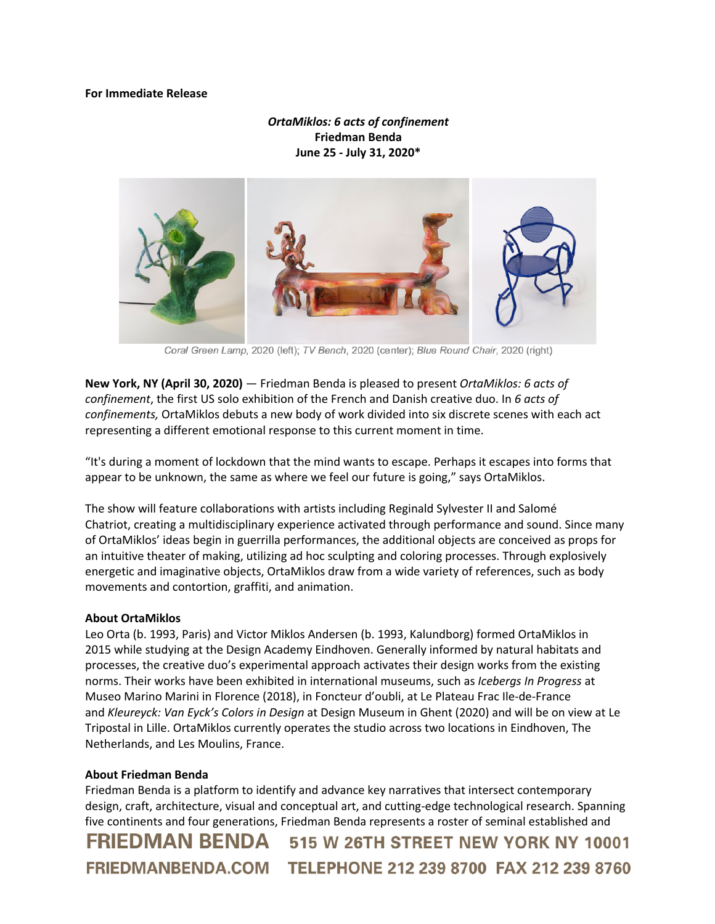## **For Immediate Release**

## *OrtaMiklos: 6 acts of confinement* **Friedman Benda June 25 - July 31, 2020\***



Coral Green Lamp, 2020 (left); TV Bench, 2020 (center); Blue Round Chair, 2020 (right)

**New York, NY (April 30, 2020)** — Friedman Benda is pleased to present *OrtaMiklos: 6 acts of confinement*, the first US solo exhibition of the French and Danish creative duo. In *6 acts of confinements,* OrtaMiklos debuts a new body of work divided into six discrete scenes with each act representing a different emotional response to this current moment in time.

"It's during a moment of lockdown that the mind wants to escape. Perhaps it escapes into forms that appear to be unknown, the same as where we feel our future is going," says OrtaMiklos.

The show will feature collaborations with artists including Reginald Sylvester II and Salomé Chatriot, creating a multidisciplinary experience activated through performance and sound. Since many of OrtaMiklos' ideas begin in guerrilla performances, the additional objects are conceived as props for an intuitive theater of making, utilizing ad hoc sculpting and coloring processes. Through explosively energetic and imaginative objects, OrtaMiklos draw from a wide variety of references, such as body movements and contortion, graffiti, and animation.

## **About OrtaMiklos**

Leo Orta (b. 1993, Paris) and Victor Miklos Andersen (b. 1993, Kalundborg) formed OrtaMiklos in 2015 while studying at the Design Academy Eindhoven. Generally informed by natural habitats and processes, the creative duo's experimental approach activates their design works from the existing norms. Their works have been exhibited in international museums, such as *Icebergs In Progress* at Museo Marino Marini in Florence (2018), in Foncteur d'oubli, at Le Plateau Frac Ile-de-France and *Kleureyck: Van Eyck's Colors in Design* at Design Museum in Ghent (2020) and will be on view at Le Tripostal in Lille. OrtaMiklos currently operates the studio across two locations in Eindhoven, The Netherlands, and Les Moulins, France.

## **About Friedman Benda**

Friedman Benda is a platform to identify and advance key narratives that intersect contemporary design, craft, architecture, visual and conceptual art, and cutting-edge technological research. Spanning five continents and four generations, Friedman Benda represents a roster of seminal established and FRIEDMAN BENDA 515 W 26TH STREET NEW YORK NY 10001 FRIEDMANBENDA.COM TELEPHONE 212 239 8700 FAX 212 239 8760